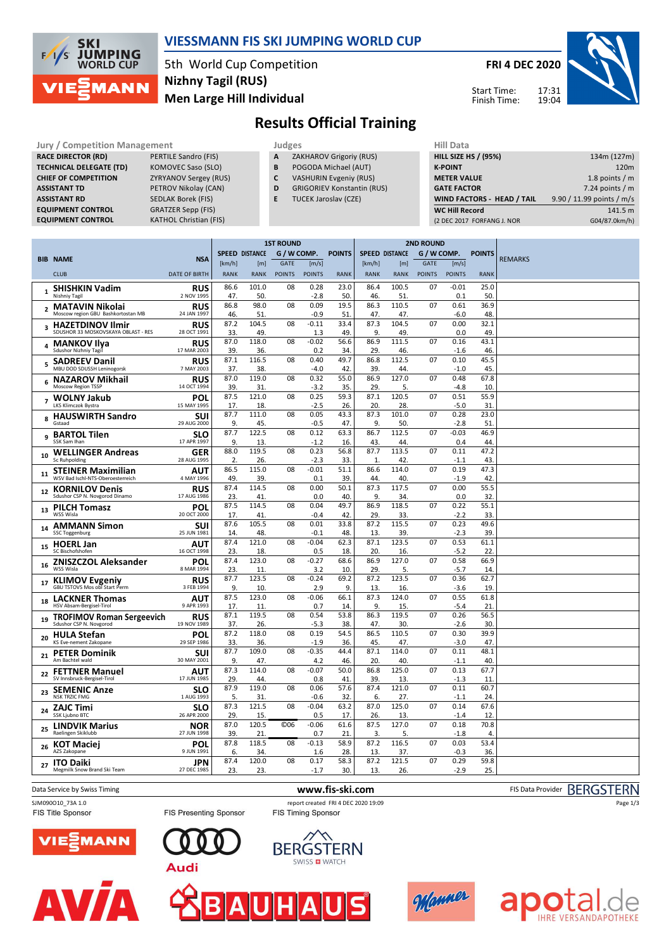

### **VIESSMANN FIS SKI JUMPING WORLD CUP**

5th World Cup Competition **Men Large Hill Individual Nizhny Tagil (RUS)**

**FRI 4 DEC 2020**

17:31 19:04



Start Time: Finish Time:

# **Results Official Training**

Jury / Competition Management<br>**RACE DIRECTOR (RD)** PERTILE Sandro (FIS) **A ZAKHAROV Grigoriy (RUS) HILL SIZE HILL SIZE RACE DIRECTOR (RD) TECHNICAL DELEGATE (TD)** KOMOVEC Saso (SLO)<br> **CHIEF OF COMPETITION** ZYRYANOV Sergey (RUS) **CHIEF OF COMPETITION ASSISTANT TD** PETROV Nikolay (CAN) **ASSISTANT RD** SEDLAK Borek (FIS) **EQUIPMENT CONTROL GRATZER Sepp (FIS)**<br>**EQUIPMENT CONTROL** KATHOL Christian (F

**EXATHOL Christian (FIS)** 

**A** ZAKHAROV Grigoriy (RUS)

- **B** POGODA Michael (AUT)
- **C** VASHURIN Evgeniy (RUS)
- **D** GRIGORIEV Konstantin (RUS)
- **E** TUCEK Jaroslav (CZE)

| niil Data                         |                           |
|-----------------------------------|---------------------------|
| <b>HILL SIZE HS / (95%)</b>       | 134m (127m)               |
| <b>K-POINT</b>                    | 120 <sub>m</sub>          |
| <b>METER VALUE</b>                | 1.8 points $/m$           |
| <b>GATE FACTOR</b>                | 7.24 points $/m$          |
| <b>WIND FACTORS - HEAD / TAIL</b> | 9.90 / 11.99 points / m/s |
| <b>WC Hill Record</b>             | 141.5 m                   |
| (2 DEC 2017 FORFANG J. NOR        | G04/87.0km/h)             |

|                          |                                                                |                           | <b>1ST ROUND</b> |                       |               |                   | <b>2ND ROUND</b> |                       |              |               |                |               |                |
|--------------------------|----------------------------------------------------------------|---------------------------|------------------|-----------------------|---------------|-------------------|------------------|-----------------------|--------------|---------------|----------------|---------------|----------------|
|                          | <b>BIB NAME</b>                                                | <b>NSA</b>                |                  | <b>SPEED DISTANCE</b> | G / W COMP.   |                   | <b>POINTS</b>    | <b>SPEED DISTANCE</b> |              | G / W COMP.   |                | <b>POINTS</b> | <b>REMARKS</b> |
|                          |                                                                |                           | [km/h]           | [m]                   | <b>GATE</b>   | [m/s]             |                  | [km/h]                | [m]          | <b>GATE</b>   | [m/s]          |               |                |
|                          | <b>CLUB</b>                                                    | <b>DATE OF BIRTH</b>      | <b>RANK</b>      | <b>RANK</b>           | <b>POINTS</b> | <b>POINTS</b>     | <b>RANK</b>      | <b>RANK</b>           | <b>RANK</b>  | <b>POINTS</b> | <b>POINTS</b>  | <b>RANK</b>   |                |
| $\mathbf{1}$             | <b>SHISHKIN Vadim</b><br>Nishniy Tagil                         | <b>RUS</b><br>2 NOV 1995  | 86.6<br>47.      | 101.0<br>50.          | 08            | 0.28<br>$-2.8$    | 23.0<br>50.      | 86.4<br>46.           | 100.5<br>51. | 07            | $-0.01$<br>0.1 | 25.0<br>50.   |                |
| $\overline{2}$           | MATAVIN Nikolai                                                | <b>RUS</b>                | 86.8             | 98.0                  | 08            | 0.09              | 19.5             | 86.3                  | 110.5        | 07            | 0.61           | 36.9          |                |
|                          | Moscow region GBU Bashkortostan MB                             | 24 JAN 1997               | 46.<br>87.2      | 51<br>104.5           | 08            | $-0.9$<br>$-0.11$ | 51               | 47.<br>87.3           | 47.<br>104.5 | 07            | -6.0<br>0.00   | 48.<br>32.1   |                |
| 3                        | <b>HAZETDINOV Ilmir</b><br>SDUSHOR 33 MOSKOVSKAYA OBLAST - RES | <b>RUS</b><br>28 OCT 1991 | 33.              | 49                    |               | 1.3               | 33.4<br>49       | 9                     | 49           |               | 0.0            | 49            |                |
| 4                        | <b>MANKOV Ilya</b><br>Sdushor Nizhniy Tagil                    | <b>RUS</b><br>17 MAR 2003 | 87.0<br>39.      | 118.0<br>36.          | 08            | $-0.02$<br>0.2    | 56.6<br>34       | 86.9<br>29            | 111.5<br>46  | 07            | 0.16<br>$-1.6$ | 43.1<br>46.   |                |
| 5                        | <b>SADREEV Danil</b><br>MBU DOD SDUSSH Leninogorsk             | <b>RUS</b><br>7 MAY 2003  | 87.1<br>37.      | 116.5<br>38.          | 08            | 0.40<br>$-4.0$    | 49.7<br>42       | 86.8<br>39            | 112.5<br>44  | 07            | 0.10<br>$-1.0$ | 45.5<br>45    |                |
| 6                        | <b>NAZAROV Mikhail</b><br>Moscow Region TSSP                   | <b>RUS</b><br>14 OCT 1994 | 87.0<br>39.      | 119.0<br>31           | 08            | 0.32<br>$-3.2$    | 55.0<br>35       | 86.9<br>29            | 127.0<br>5.  | 07            | 0.48<br>$-4.8$ | 67.8<br>10.   |                |
| $\overline{\phantom{a}}$ | <b>WOLNY Jakub</b><br>LKS Klimczok Bystra                      | POL<br>15 MAY 1995        | 87.5<br>17.      | 121.0<br>18.          | 08            | 0.25<br>$-2.5$    | 59.3<br>26.      | 87.1<br>20.           | 120.5<br>28. | 07            | 0.51<br>$-5.0$ | 55.9<br>31    |                |
| 8                        | <b>HAUSWIRTH Sandro</b><br>Gstaad                              | SUI<br>29 AUG 2000        | 87.7<br>9.       | 111.0<br>45           | 08            | 0.05<br>$-0.5$    | 43.3<br>47.      | 87.3<br>9.            | 101.0<br>50. | 07            | 0.28<br>$-2.8$ | 23.0<br>51    |                |
| q                        | <b>BARTOL Tilen</b><br>SSK Sam Ihan                            | <b>SLO</b><br>17 APR 1997 | 87.7<br>9.       | 122.5<br>13.          | 08            | 0.12<br>$-1.2$    | 63.3<br>16.      | 86.7<br>43.           | 112.5<br>44. | 07            | $-0.03$<br>0.4 | 46.9<br>44    |                |
| 10                       | <b>WELLINGER Andreas</b><br>Sc Ruhpolding                      | <b>GER</b><br>28 AUG 1995 | 88.0<br>2.       | 119.5<br>26.          | 08            | 0.23<br>$-2.3$    | 56.8<br>33.      | 87.7<br>$\mathbf{1}$  | 113.5<br>42. | 07            | 0.11<br>$-1.1$ | 47.2<br>43.   |                |
| 11                       | <b>STEINER Maximilian</b><br>WSV Bad Ischl-NTS-Oberoesterreich | AUT<br>4 MAY 1996         | 86.5<br>49       | 115.0<br>39           | 08            | $-0.01$<br>0.1    | 51.1<br>39       | 86.6<br>44            | 114.0<br>40. | 07            | 0.19<br>$-1.9$ | 47.3<br>42    |                |
| 12                       | <b>KORNILOV Denis</b><br>Sdushor CSP N. Novgorod Dinamo        | <b>RUS</b><br>17 AUG 1986 | 87.4<br>23.      | 114.5<br>41           | 08            | 0.00<br>0.0       | 50.1<br>40       | 87.3<br>9             | 117.5<br>34. | 07            | 0.00<br>0.0    | 55.5<br>32    |                |
| 13                       | <b>PILCH Tomasz</b><br>WSS Wisla                               | POL<br>20 OCT 2000        | 87.5<br>17       | 114.5<br>41           | 08            | 0.04<br>$-0.4$    | 49.7<br>42       | 86.9<br>29            | 118.5<br>33  | 07            | 0.22<br>$-2.2$ | 55.1<br>33    |                |
| 14                       | <b>AMMANN Simon</b><br><b>SSC Toggenburg</b>                   | SUI<br>25 JUN 1981        | 87.6<br>14       | 105.5<br>48.          | 08            | 0.01<br>$-0.1$    | 33.8<br>48       | 87.2<br>13.           | 115.5<br>39  | 07            | 0.23<br>$-2.3$ | 49.6<br>39.   |                |
| 15                       | <b>HOERL Jan</b><br>SC Bischofshofen                           | <b>AUT</b><br>16 OCT 1998 | 87.4<br>23       | 121.0<br>18           | 08            | $-0.04$<br>0.5    | 62.3<br>18       | 87.1<br>20.           | 123.5<br>16. | 07            | 0.53<br>$-5.2$ | 61.1<br>22    |                |
| 16                       | <b>ZNISZCZOL Aleksander</b><br>WSS Wisla                       | POL<br>8 MAR 1994         | 87.4<br>23       | 123.0<br>11.          | 08            | $-0.27$<br>3.2    | 68.6<br>10.      | 86.9<br>29            | 127.0<br>.5  | 07            | 0.58<br>$-5.7$ | 66.9<br>14    |                |
| 17                       | <b>KLIMOV Evgeniy</b><br>GBU TSTOVS Mos obl Start Perm         | <b>RUS</b><br>3 FEB 1994  | 87.7<br>9.       | 123.5<br>10           | 08            | $-0.24$<br>2.9    | 69.2<br>9.       | 87.2<br>13.           | 123.5<br>16. | 07            | 0.36<br>$-3.6$ | 62.7<br>19.   |                |
| 18                       | <b>LACKNER Thomas</b><br>HSV Absam-Bergisel-Tirol              | AUT<br>9 APR 1993         | 87.5<br>17.      | 123.0<br>11.          | 08            | $-0.06$<br>0.7    | 66.1<br>14       | 87.3<br>9.            | 124.0<br>15. | 07            | 0.55<br>$-5.4$ | 61.8<br>21    |                |
| 19                       | <b>TROFIMOV Roman Sergeevich</b><br>Sdushor CSP N. Novgorod    | <b>RUS</b><br>19 NOV 1989 | 87.1<br>37.      | 119.5<br>26           | 08            | 0.54<br>$-5.3$    | 53.8<br>38       | 86.3<br>47.           | 119.5<br>30. | 07            | 0.26<br>$-2.6$ | 56.5<br>30.   |                |
| 20                       | <b>HULA Stefan</b><br>KS Eve-nement Zakopane                   | POL<br>29 SEP 1986        | 87.2<br>33.      | 118.0<br>36.          | 08            | 0.19<br>$-1.9$    | 54.5<br>36.      | 86.5<br>45            | 110.5<br>47. | 07            | 0.30<br>$-3.0$ | 39.9<br>47    |                |
| 21                       | <b>PETER Dominik</b><br>Am Bachtel wald                        | SUI<br>30 MAY 2001        | 87.7<br>9.       | 109.0<br>47.          | 08            | $-0.35$<br>4.2    | 44.4<br>46.      | 87.1<br>20            | 114.0<br>40  | 07            | 0.11<br>$-1.1$ | 48.1<br>40.   |                |
| 22                       | <b>FETTNER Manuel</b><br>SV Innsbruck-Bergisel-Tirol           | AUT<br>17 JUN 1985        | 87.3<br>29       | 114.0<br>44           | 08            | $-0.07$<br>0.8    | 50.0<br>41       | 86.8<br>39            | 125.0<br>13  | 07            | 0.13<br>$-1.3$ | 67.7<br>11    |                |
| 23                       | <b>SEMENIC Anze</b><br><b>NSK TRZIC FMG</b>                    | SLO<br>1 AUG 1993         | 87.9<br>5.       | 119.0<br>31           | 08            | 0.06<br>$-0.6$    | 57.6<br>32       | 87.4<br>6.            | 121.0<br>27. | 07            | 0.11<br>$-1.1$ | 60.7<br>24.   |                |
| 24                       | ZAJC Timi<br>SSK Ljubno BTC                                    | <b>SLO</b><br>26 APR 2000 | 87.3<br>29       | 121.5<br>15           | 08            | $-0.04$<br>0.5    | 63.2<br>17       | 87.0<br>26.           | 125.0<br>13. | 07            | 0.14<br>$-1.4$ | 67.6<br>12    |                |
| 25                       | <b>LINDVIK Marius</b><br>Raelingen Skiklubb                    | NOR<br>27 JUN 1998        | 87.0<br>39.      | 120.5<br>21           | <b>©06</b>    | $-0.06$<br>0.7    | 61.6<br>21       | 87.5<br>3.            | 127.0<br>5.  | 07            | 0.18<br>$-1.8$ | 70.8<br>4.    |                |
| 26                       | <b>KOT Maciei</b><br>AZS Zakopane                              | POL<br>9 JUN 1991         | 87.8<br>6.       | 118.5<br>34.          | 08            | $-0.13$<br>1.6    | 58.9<br>28       | 87.2<br>13.           | 116.5<br>37. | 07            | 0.03<br>$-0.3$ | 53.4<br>36.   |                |
| 27                       | <b>ITO Daiki</b><br>Megmilk Snow Brand Ski Team                | JPN<br>27 DEC 1985        | 87.4<br>23.      | 120.0<br>23.          | 08            | 0.17<br>$-1.7$    | 58.3<br>30.      | 87.2<br>13.           | 121.5<br>26. | 07            | 0.29<br>$-2.9$ | 59.8<br>25.   |                |
|                          |                                                                |                           |                  |                       |               |                   |                  |                       |              |               |                |               |                |

Data Service by Swiss Timing **WWW.fis-ski.com www.fis-ski.com** FIS Data Provider BERGSTERN

SJM090010\_73A 1.0 report created FRI 4 DEC 2020 19:09<br>FIS Title Sponsor FIS Timing Sponsor FIS Timing Sponsor FIS Title Sponsor









FIS Presenting Sponsor





Page 1/3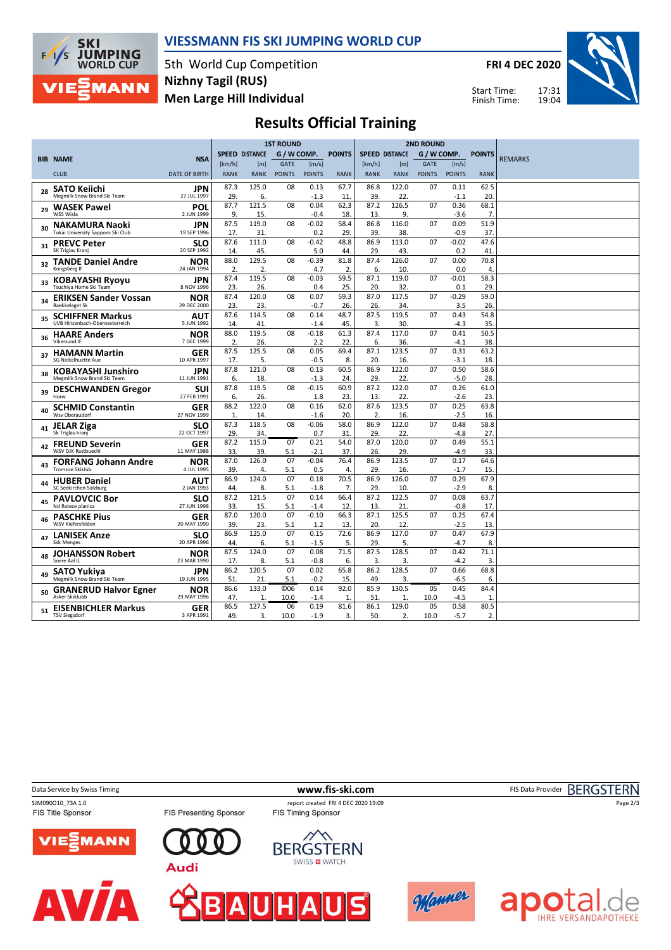

### **VIESSMANN FIS SKI JUMPING WORLD CUP**

5th World Cup Competition **Men Large Hill Individual Nizhny Tagil (RUS)**

**FRI 4 DEC 2020**

Start Time: Finish Time:



## **Results Official Training**

|    |                                                            |                           | <b>1ST ROUND</b>      |              |                 |                   |               |                        |              | <b>2ND ROUND</b> |                |                |                |
|----|------------------------------------------------------------|---------------------------|-----------------------|--------------|-----------------|-------------------|---------------|------------------------|--------------|------------------|----------------|----------------|----------------|
|    |                                                            |                           | <b>SPEED DISTANCE</b> |              | G / W COMP.     |                   | <b>POINTS</b> | <b>SPEED DISTANCE</b>  |              | G / W COMP.      |                | <b>POINTS</b>  |                |
|    | <b>BIB NAME</b>                                            | <b>NSA</b>                | [km/h]                | [m]          | GATE            | [m/s]             |               | [km/h]                 | [m]          | <b>GATE</b>      | [m/s]          |                | <b>REMARKS</b> |
|    | <b>CLUB</b>                                                | <b>DATE OF BIRTH</b>      | <b>RANK</b>           | <b>RANK</b>  | <b>POINTS</b>   | <b>POINTS</b>     | <b>RANK</b>   | <b>RANK</b>            | <b>RANK</b>  | <b>POINTS</b>    | <b>POINTS</b>  | <b>RANK</b>    |                |
|    | <b>SATO Kejichi</b>                                        | <b>JPN</b>                | 87.3                  | 125.0        | 08              | 0.13              | 67.7          | 86.8                   | 122.0        | 07               | 0.11           | 62.5           |                |
| 28 | Megmilk Snow Brand Ski Team                                | 27 JUL 1997               | 29.                   | 6.           |                 | $-1.3$            | 11            | 39.                    | 22           |                  | $-1.1$         | 20             |                |
| 29 | <b>WASEK Pawel</b>                                         | POL                       | 87.7                  | 121.5        | 08              | 0.04              | 62.3          | 87.2                   | 126.5        | 07               | 0.36           | 68.1           |                |
|    | WSS Wisla                                                  | 2 JUN 1999                | 9.                    | 15.          |                 | $-0.4$            | 18.           | 13.                    | 9.           |                  | $-3.6$         | $\overline{7}$ |                |
| 30 | <b>NAKAMURA Naoki</b><br>Tokai University Sapporo Ski Club | JPN<br>19 SEP 1996        | 87.5<br>17.           | 119.0<br>31. | 08              | $-0.02$<br>0.2    | 58.4<br>29.   | 86.8<br>39.            | 116.0<br>38. | 07               | 0.09<br>$-0.9$ | 51.9<br>37.    |                |
|    | <b>PREVC Peter</b>                                         | <b>SLO</b>                | 87.6                  | 111.0        | 08              | $-0.42$           | 48.8          | 86.9                   | 113.0        | 07               | $-0.02$        | 47.6           |                |
| 31 | SK Triglav Kranj                                           | 20 SEP 1992               | 14.                   | 45.          |                 | 5.0               | 44.           | 29.                    | 43           |                  | 0.2            | 41             |                |
| 32 | <b>TANDE Daniel Andre</b>                                  | <b>NOR</b>                | 88.0                  | 129.5        | 08              | $-0.39$           | 81.8          | 87.4                   | 126.0        | 07               | 0.00           | 70.8           |                |
|    | Kongsberg If                                               | 24 JAN 1994               | 2.                    | 2.           |                 | 4.7               | 2.            | 6.                     | 10           |                  | 0.0            | $\overline{4}$ |                |
|    | <b>KOBAYASHI Ryoyu</b>                                     | JPN                       | 87.4                  | 119.5        | 08              | $-0.03$           | 59.5          | 87.1                   | 119.0        | 07               | $-0.01$        | 58.3           |                |
|    | Tsuchiya Home Ski Team                                     | 8 NOV 1996                | 23                    | 26.          |                 | 0.4               | 25.           | 20                     | 32           |                  | 0.1            | 29             |                |
| 34 | <b>ERIKSEN Sander Vossan</b><br><b>Baekkelaget Sk</b>      | <b>NOR</b><br>29 DEC 2000 | 87.4                  | 120.0        | 08              | 0.07              | 59.3          | 87.0                   | 117.5        | 07               | $-0.29$        | 59.0           |                |
|    |                                                            |                           | 23.<br>87.6           | 23.<br>114.5 | 08              | $-0.7$<br>0.14    | 26<br>48.7    | 26.<br>87.5            | 34.<br>119.5 | 07               | 3.5<br>0.43    | 26<br>54.8     |                |
| 35 | <b>SCHIFFNER Markus</b><br>UVB Hinzenbach-Oberoesterreich  | AUT<br>5 JUN 1992         | 14.                   | 41.          |                 | $-1.4$            | 45.           | 3.                     | 30           |                  | $-4.3$         | 35             |                |
|    |                                                            | <b>NOR</b>                | 88.0                  | 119.5        | 08              | $-0.18$           | 61.3          | 87.4                   | 117.0        | 07               | 0.41           | 50.5           |                |
| 36 | <b>HAARE Anders</b><br>Vikersund IF                        | 7 DEC 1999                | 2.                    | 26.          |                 | 2.2               | 22            | 6.                     | 36           |                  | $-4.1$         | 38             |                |
|    | <b>HAMANN Martin</b>                                       | <b>GER</b>                | 87.5                  | 125.5        | 08              | 0.05              | 69.4          | 87.1                   | 123.5        | 07               | 0.31           | 63.2           |                |
| 37 | SG Nickelhuette Aue                                        | 10 APR 1997               | 17.                   | 5.           |                 | $-0.5$            | 8.            | 20.                    | 16.          |                  | $-3.1$         | 18.            |                |
| 38 | <b>KOBAYASHI Junshiro</b>                                  | JPN                       | 87.8                  | 121.0        | 08              | 0.13              | 60.5          | 86.9                   | 122.0        | 07               | 0.50           | 58.6           |                |
|    | Megmilk Snow Brand Ski Team                                | 11 JUN 1991               | 6.                    | 18.          |                 | $-1.3$            | 24            | 29.                    | 22.          |                  | $-5.0$         | 28             |                |
| 39 | <b>DESCHWANDEN Gregor</b>                                  | SUI                       | 87.8                  | 119.5        | 08              | $-0.15$           | 60.9          | 87.2                   | 122.0        | 07               | 0.26           | 61.0           |                |
|    | Horw                                                       | 27 FEB 1991               | 6.                    | 26.          |                 | 1.8               | 23.           | 13.                    | 22           |                  | $-2.6$         | 23             |                |
| 40 | <b>SCHMID Constantin</b>                                   | GER                       | 88.2                  | 122.0        | 08              | 0.16              | 62.0          | 87.6                   | 123.5        | 07               | 0.25           | 63.8           |                |
|    | Wsv Oberaudorf                                             | 27 NOV 1999               | 1.<br>87.3            | 14.<br>118.5 | 08              | $-1.6$<br>$-0.06$ | 20.           | $\overline{2}$<br>86.9 | 16.<br>122.0 |                  | $-2.5$<br>0.48 | 16.            |                |
| 41 | <b>JELAR Ziga</b><br>Sk Triglav kranj                      | <b>SLO</b><br>22 OCT 1997 | 29.                   | 34.          |                 | 0.7               | 58.0<br>31    | 29.                    | 22           | 07               | $-4.8$         | 58.8<br>27     |                |
|    |                                                            |                           | 87.2                  | 115.0        | 07              | 0.21              | 54.0          | 87.0                   | 120.0        | 07               | 0.49           | 55.1           |                |
| 42 | <b>FREUND Severin</b><br>WSV DJK Rastbuechl                | GER<br>11 MAY 1988        | 33                    | 39.          | 5.1             | $-2.1$            | 37.           | 26.                    | 29           |                  | $-4.9$         | 33             |                |
|    | <b>FORFANG Johann Andre</b>                                | NOR                       | 87.0                  | 126.0        | 07              | $-0.04$           | 76.4          | 86.9                   | 123.5        | 07               | 0.17           | 64.6           |                |
| 43 | <b>Tromsoe Skiklub</b>                                     | 4 JUL 1995                | 39.                   | 4.           | 5.1             | 0.5               | 4.            | 29.                    | 16.          |                  | $-1.7$         | 15             |                |
| 44 | <b>HUBER Daniel</b>                                        | AUT                       | 86.9                  | 124.0        | 07              | 0.18              | 70.5          | 86.9                   | 126.0        | 07               | 0.29           | 67.9           |                |
|    | SC Seekirchen-Salzburg                                     | 2 JAN 1993                | 44.                   | 8.           | 5.1             | $-1.8$            | 7.            | 29.                    | 10.          |                  | $-2.9$         | 8.             |                |
| 45 | <b>PAVLOVCIC Bor</b>                                       | <b>SLO</b>                | 87.2                  | 121.5        | 07              | 0.14              | 66.4          | 87.2                   | 122.5        | 07               | 0.08           | 63.7           |                |
|    | Nd Ratece planica                                          | 27 JUN 1998               | 33                    | 15.          | 5.1             | $-1.4$            | 12            | 13.                    | 21           |                  | $-0.8$         | 17             |                |
| 46 | <b>PASCHKE Pius</b><br>WSV Kiefersfelden                   | GER                       | 87.0                  | 120.0        | 07              | $-0.10$           | 66.3          | 87.1                   | 125.5        | 07               | 0.25           | 67.4           |                |
|    |                                                            | 20 MAY 1990               | 39.<br>86.9           | 23.<br>125.0 | 5.1<br>07       | 1.2<br>0.15       | 13.<br>72.6   | 20.<br>86.9            | 12.<br>127.0 | 07               | $-2.5$<br>0.47 | 13<br>67.9     |                |
| 47 | <b>LANISEK Anze</b><br><b>Ssk Menges</b>                   | <b>SLO</b><br>20 APR 1996 | 44.                   | 6.           | 5.1             | $-1.5$            | 5.            | 29.                    | 5.           |                  | $-4.7$         | 8              |                |
|    | <b>JOHANSSON Robert</b>                                    | <b>NOR</b>                | 87.5                  | 124.0        | 07              | 0.08              | 71.5          | 87.5                   | 128.5        | 07               | 0.42           | 71.1           |                |
| 48 | Soere Aal IL                                               | 23 MAR 1990               | 17.                   | 8.           | 5.1             | $-0.8$            | 6.            | 3.                     | 3.           |                  | $-4.2$         | 3.             |                |
|    | <b>SATO Yukiya</b>                                         | JPN                       | 86.2                  | 120.5        | 07              | 0.02              | 65.8          | 86.2                   | 128.5        | 07               | 0.66           | 68.8           |                |
| 49 | Megmilk Snow Brand Ski Team                                | 19 JUN 1995               | 51.                   | 21.          | 5.1             | $-0.2$            | 15.           | 49.                    | 3.           |                  | $-6.5$         | 6.             |                |
| 50 | <b>GRANERUD Halvor Egner</b>                               | <b>NOR</b>                | 86.6                  | 133.0        | C <sub>06</sub> | 0.14              | 92.0          | 85.9                   | 130.5        | 05               | 0.45           | 84.4           |                |
|    | Asker Skiklubb                                             | 29 MAY 1996               | 47                    | 1            | 10.0            | -1.4              | $\mathbf{1}$  | 51                     | $\mathbf{1}$ | 10.0             | $-4.5$         | $\mathbf{1}$   |                |
| 51 | <b>EISENBICHLER Markus</b>                                 | <b>GER</b>                | 86.5                  | 127.5        | 06              | 0.19              | 81.6          | 86.1                   | 129.0        | 05               | 0.58           | 80.5           |                |
|    | <b>TSV Siegsdorf</b>                                       | 3 APR 1991                | 49.                   | 3.           | 10.0            | $-1.9$            | 3.            | 50.                    | 2.           | 10.0             | $-5.7$         | $\overline{2}$ |                |

Data Service by Swiss Timing **WWW.fis-ski.com www.fis-ski.com** FIS Data Provider BERGSTERN

AV

FIS Presenting Sponsor

SJM090O10\_73A 1.0 report created FRI 4 DEC 2020 19:09<br>FIS Title Sponsor FIS Tessenting Sponsor FIS Timing Sponsor













Page 2/3